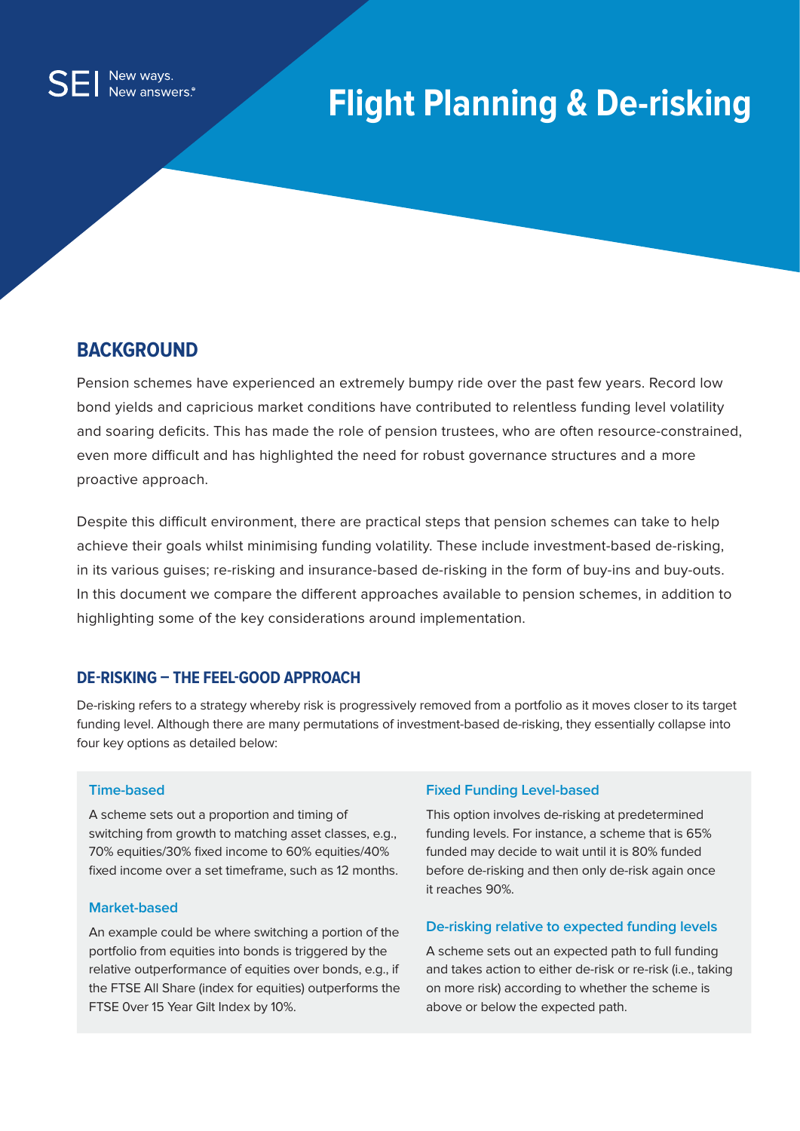# **Flight Planning & De-risking**

## **BACKGROUND**

Pension schemes have experienced an extremely bumpy ride over the past few years. Record low bond yields and capricious market conditions have contributed to relentless funding level volatility and soaring deficits. This has made the role of pension trustees, who are often resource-constrained, even more difficult and has highlighted the need for robust governance structures and a more proactive approach.

Despite this difficult environment, there are practical steps that pension schemes can take to help achieve their goals whilst minimising funding volatility. These include investment-based de-risking, in its various guises; re-risking and insurance-based de-risking in the form of buy-ins and buy-outs. In this document we compare the different approaches available to pension schemes, in addition to highlighting some of the key considerations around implementation.

## **DE-RISKING – THE FEEL-GOOD APPROACH**

De-risking refers to a strategy whereby risk is progressively removed from a portfolio as it moves closer to its target funding level. Although there are many permutations of investment-based de-risking, they essentially collapse into four key options as detailed below:

## **Time-based**

A scheme sets out a proportion and timing of switching from growth to matching asset classes, e.g., 70% equities/30% fixed income to 60% equities/40% fixed income over a set timeframe, such as 12 months.

## **Market-based**

An example could be where switching a portion of the portfolio from equities into bonds is triggered by the relative outperformance of equities over bonds, e.g., if the FTSE All Share (index for equities) outperforms the FTSE 0ver 15 Year Gilt Index by 10%.

## **Fixed Funding Level-based**

This option involves de-risking at predetermined funding levels. For instance, a scheme that is 65% funded may decide to wait until it is 80% funded before de-risking and then only de-risk again once it reaches 90%.

## **De-risking relative to expected funding levels**

A scheme sets out an expected path to full funding and takes action to either de-risk or re-risk (i.e., taking on more risk) according to whether the scheme is above or below the expected path.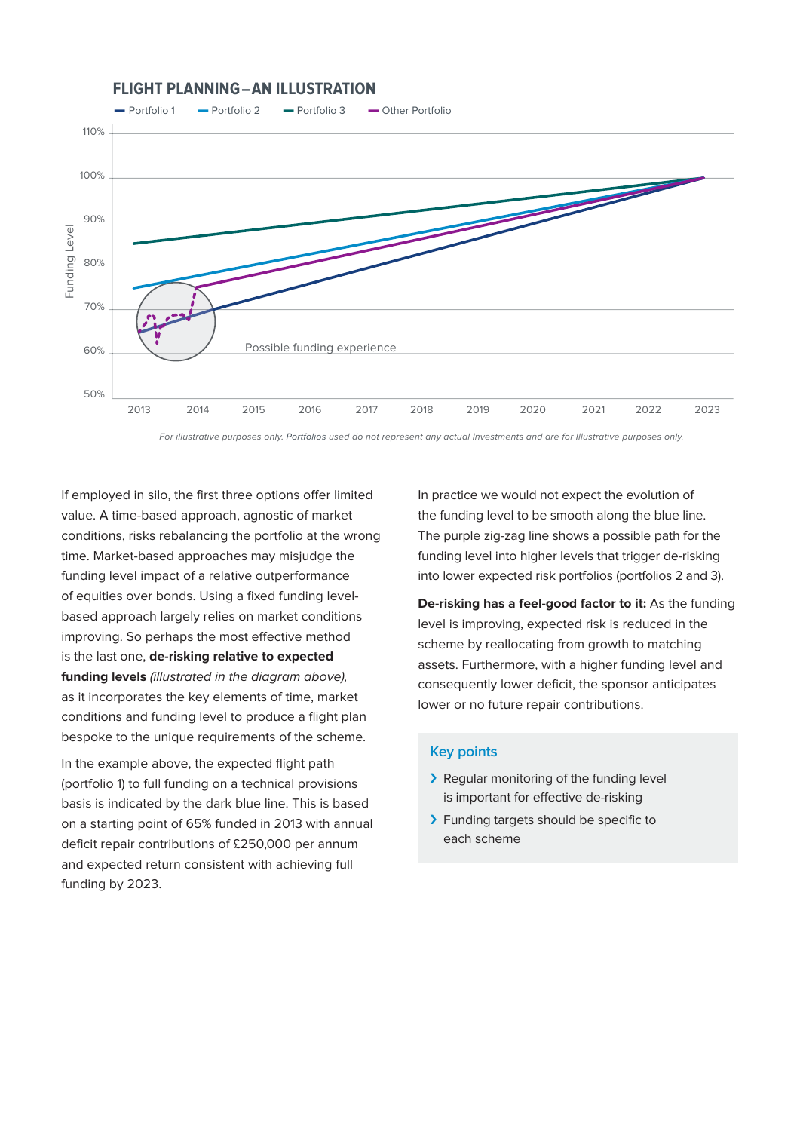## **FLIGHT PLANNING―AN ILLUSTRATION**



For illustrative purposes only. Portfolios used do not represent any actual Investments and are for Illustrative purposes only.

If employed in silo, the first three options offer limited value. A time-based approach, agnostic of market conditions, risks rebalancing the portfolio at the wrong time. Market-based approaches may misjudge the funding level impact of a relative outperformance of equities over bonds. Using a fixed funding levelbased approach largely relies on market conditions improving. So perhaps the most effective method is the last one, **de-risking relative to expected funding levels** (illustrated in the diagram above), as it incorporates the key elements of time, market conditions and funding level to produce a flight plan bespoke to the unique requirements of the scheme.

In the example above, the expected flight path (portfolio 1) to full funding on a technical provisions basis is indicated by the dark blue line. This is based on a starting point of 65% funded in 2013 with annual deficit repair contributions of £250,000 per annum and expected return consistent with achieving full funding by 2023.

In practice we would not expect the evolution of the funding level to be smooth along the blue line. The purple zig-zag line shows a possible path for the funding level into higher levels that trigger de-risking into lower expected risk portfolios (portfolios 2 and 3).

**De-risking has a feel-good factor to it:** As the funding level is improving, expected risk is reduced in the scheme by reallocating from growth to matching assets. Furthermore, with a higher funding level and consequently lower deficit, the sponsor anticipates lower or no future repair contributions.

#### **Key points**

- › Regular monitoring of the funding level is important for effective de-risking
- › Funding targets should be specific to each scheme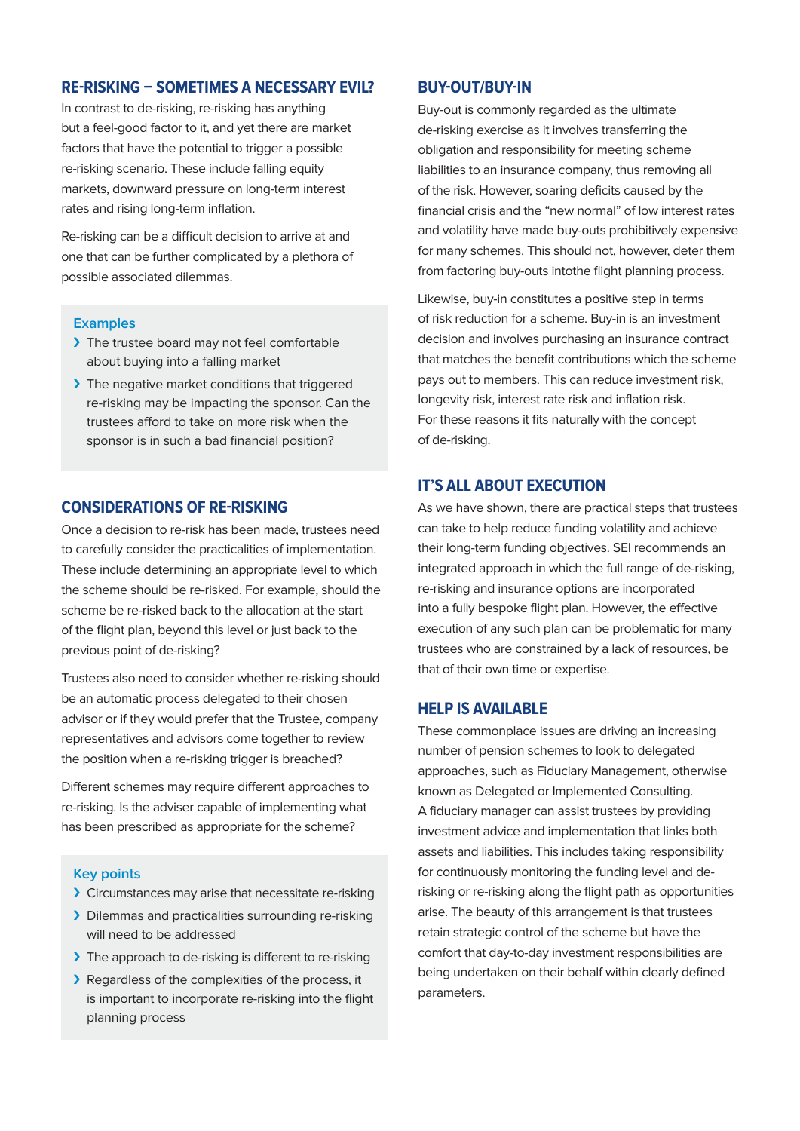## **RE-RISKING – SOMETIMES A NECESSARY EVIL?**

In contrast to de-risking, re-risking has anything but a feel-good factor to it, and yet there are market factors that have the potential to trigger a possible re-risking scenario. These include falling equity markets, downward pressure on long-term interest rates and rising long-term inflation.

Re-risking can be a difficult decision to arrive at and one that can be further complicated by a plethora of possible associated dilemmas.

#### **Examples**

- > The trustee board may not feel comfortable about buying into a falling market
- > The negative market conditions that triggered re-risking may be impacting the sponsor. Can the trustees afford to take on more risk when the sponsor is in such a bad financial position?

## **CONSIDERATIONS OF RE-RISKING**

Once a decision to re-risk has been made, trustees need to carefully consider the practicalities of implementation. These include determining an appropriate level to which the scheme should be re-risked. For example, should the scheme be re-risked back to the allocation at the start of the flight plan, beyond this level or just back to the previous point of de-risking?

Trustees also need to consider whether re-risking should be an automatic process delegated to their chosen advisor or if they would prefer that the Trustee, company representatives and advisors come together to review the position when a re-risking trigger is breached?

Different schemes may require different approaches to re-risking. Is the adviser capable of implementing what has been prescribed as appropriate for the scheme?

#### **Key points**

- › Circumstances may arise that necessitate re-risking
- > Dilemmas and practicalities surrounding re-risking will need to be addressed
- > The approach to de-risking is different to re-risking
- › Regardless of the complexities of the process, it is important to incorporate re-risking into the flight planning process

#### **BUY-OUT/BUY-IN**

Buy-out is commonly regarded as the ultimate de-risking exercise as it involves transferring the obligation and responsibility for meeting scheme liabilities to an insurance company, thus removing all of the risk. However, soaring deficits caused by the financial crisis and the "new normal" of low interest rates and volatility have made buy-outs prohibitively expensive for many schemes. This should not, however, deter them from factoring buy-outs intothe flight planning process.

Likewise, buy-in constitutes a positive step in terms of risk reduction for a scheme. Buy-in is an investment decision and involves purchasing an insurance contract that matches the benefit contributions which the scheme pays out to members. This can reduce investment risk, longevity risk, interest rate risk and inflation risk. For these reasons it fits naturally with the concept of de-risking.

## **IT'S ALL ABOUT EXECUTION**

As we have shown, there are practical steps that trustees can take to help reduce funding volatility and achieve their long-term funding objectives. SEI recommends an integrated approach in which the full range of de-risking, re-risking and insurance options are incorporated into a fully bespoke flight plan. However, the effective execution of any such plan can be problematic for many trustees who are constrained by a lack of resources, be that of their own time or expertise.

## **HELP IS AVAILABLE**

These commonplace issues are driving an increasing number of pension schemes to look to delegated approaches, such as Fiduciary Management, otherwise known as Delegated or Implemented Consulting. A fiduciary manager can assist trustees by providing investment advice and implementation that links both assets and liabilities. This includes taking responsibility for continuously monitoring the funding level and derisking or re-risking along the flight path as opportunities arise. The beauty of this arrangement is that trustees retain strategic control of the scheme but have the comfort that day-to-day investment responsibilities are being undertaken on their behalf within clearly defined parameters.